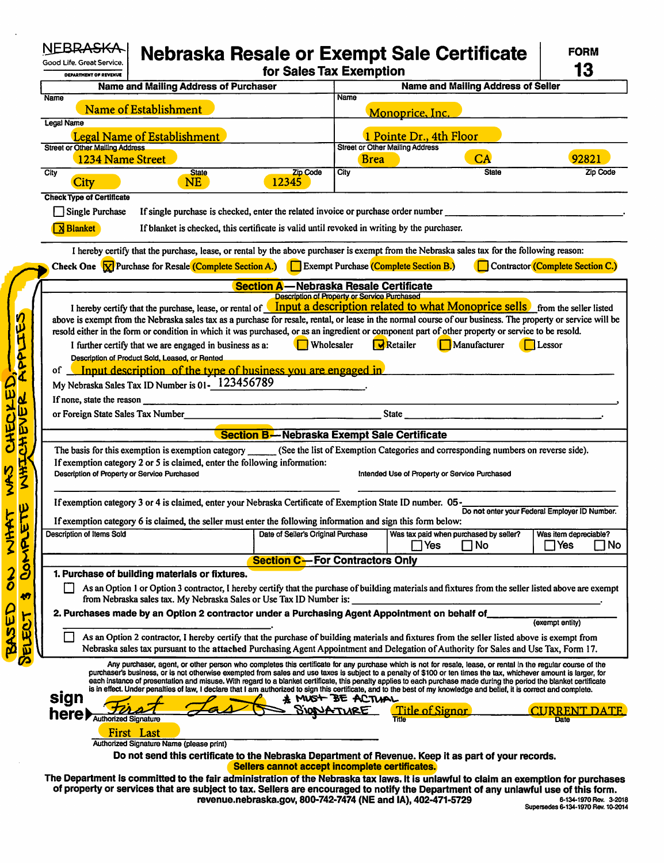| Good Life. Great Service.<br><b>DEPARTMENT OF REVENUE</b>  |                                                                                                                                                                                                                                  | for Sales Tax Exemption                             |                                                       | Nebraska Resale or Exempt Sale Certificate                                                                                                                                                                                                                                                                                                 | <b>FORM</b><br>13                     |
|------------------------------------------------------------|----------------------------------------------------------------------------------------------------------------------------------------------------------------------------------------------------------------------------------|-----------------------------------------------------|-------------------------------------------------------|--------------------------------------------------------------------------------------------------------------------------------------------------------------------------------------------------------------------------------------------------------------------------------------------------------------------------------------------|---------------------------------------|
|                                                            | <b>Name and Mailing Address of Purchaser</b>                                                                                                                                                                                     |                                                     |                                                       | <b>Name and Mailing Address of Seller</b>                                                                                                                                                                                                                                                                                                  |                                       |
| <b>Name</b><br>Name of Establishment                       |                                                                                                                                                                                                                                  |                                                     | <b>Name</b>                                           |                                                                                                                                                                                                                                                                                                                                            |                                       |
| Legal Name                                                 |                                                                                                                                                                                                                                  |                                                     |                                                       | Monoprice, Inc.                                                                                                                                                                                                                                                                                                                            |                                       |
|                                                            | <b>Legal Name of Establishment</b>                                                                                                                                                                                               |                                                     |                                                       | 1 Pointe Dr., 4th Floor                                                                                                                                                                                                                                                                                                                    |                                       |
| <b>Street or Other Mailing Address</b><br>1234 Name Street |                                                                                                                                                                                                                                  |                                                     | <b>Street or Other Mailing Address</b><br><b>Brea</b> | CA                                                                                                                                                                                                                                                                                                                                         | 92821                                 |
| City                                                       | <b>State</b>                                                                                                                                                                                                                     | Zip Code                                            | City                                                  | <b>State</b>                                                                                                                                                                                                                                                                                                                               | Zip Code                              |
| City                                                       | NE                                                                                                                                                                                                                               | 12345                                               |                                                       |                                                                                                                                                                                                                                                                                                                                            |                                       |
| <b>Check Type of Certificate</b><br>Single Purchase        | If single purchase is checked, enter the related invoice or purchase order number                                                                                                                                                |                                                     |                                                       |                                                                                                                                                                                                                                                                                                                                            |                                       |
|                                                            |                                                                                                                                                                                                                                  |                                                     |                                                       |                                                                                                                                                                                                                                                                                                                                            |                                       |
| <b>N</b> Blanket                                           | If blanket is checked, this certificate is valid until revoked in writing by the purchaser.                                                                                                                                      |                                                     |                                                       |                                                                                                                                                                                                                                                                                                                                            |                                       |
|                                                            |                                                                                                                                                                                                                                  |                                                     |                                                       | I hereby certify that the purchase, lease, or rental by the above purchaser is exempt from the Nebraska sales tax for the following reason:                                                                                                                                                                                                |                                       |
|                                                            | Check One <b><u>M</u></b> Purchase for Resale (Complete Section A.) Exempt Purchase (Complete Section B.)                                                                                                                        |                                                     |                                                       |                                                                                                                                                                                                                                                                                                                                            | Contractor (Complete Section C.)      |
|                                                            |                                                                                                                                                                                                                                  | Section A-Nebraska Resale Certificate               |                                                       |                                                                                                                                                                                                                                                                                                                                            |                                       |
|                                                            |                                                                                                                                                                                                                                  | <b>Description of Property or Service Purchased</b> |                                                       | I hereby certify that the purchase, lease, or rental of <b>Input a description related to what Monoprice sells</b> from the seller listed                                                                                                                                                                                                  |                                       |
|                                                            |                                                                                                                                                                                                                                  |                                                     |                                                       | above is exempt from the Nebraska sales tax as a purchase for resale, rental, or lease in the normal course of our business. The property or service will be                                                                                                                                                                               |                                       |
|                                                            |                                                                                                                                                                                                                                  |                                                     |                                                       | resold either in the form or condition in which it was purchased, or as an ingredient or component part of other property or service to be resold.                                                                                                                                                                                         |                                       |
|                                                            | I further certify that we are engaged in business as a:                                                                                                                                                                          | $\Box$ Wholesaler                                   |                                                       | $\overline{\mathbf{V}}$ Retailer<br>Manufacturer                                                                                                                                                                                                                                                                                           | $\Box$ Lessor                         |
|                                                            | Description of Product Sold, Leased, or Rented                                                                                                                                                                                   |                                                     |                                                       |                                                                                                                                                                                                                                                                                                                                            |                                       |
|                                                            | of Input description of the type of business you are engaged in<br>My Nebraska Sales Tax ID Number is 01-123456789                                                                                                               |                                                     |                                                       |                                                                                                                                                                                                                                                                                                                                            |                                       |
| If none, state the reason                                  |                                                                                                                                                                                                                                  |                                                     |                                                       |                                                                                                                                                                                                                                                                                                                                            |                                       |
|                                                            | or Foreign State Sales Tax Number<br>and the Contract of Tax and the Contract of Tax and the Contract of Tax and the Contract of Tax and the Contract of Tax and the Contract of Tax and the Contract of Tax and the Contract of |                                                     |                                                       | State                                                                                                                                                                                                                                                                                                                                      |                                       |
|                                                            |                                                                                                                                                                                                                                  |                                                     |                                                       |                                                                                                                                                                                                                                                                                                                                            |                                       |
|                                                            |                                                                                                                                                                                                                                  | <b>Section B--Nebraska Exempt Sale Certificate</b>  |                                                       |                                                                                                                                                                                                                                                                                                                                            |                                       |
|                                                            | The basis for this exemption is exemption category ________<br>If exemption category 2 or 5 is claimed, enter the following information:                                                                                         |                                                     |                                                       | (See the list of Exemption Categories and corresponding numbers on reverse side).                                                                                                                                                                                                                                                          |                                       |
| Description of Property or Service Purchased               |                                                                                                                                                                                                                                  |                                                     |                                                       | Intended Use of Property or Service Purchased                                                                                                                                                                                                                                                                                              |                                       |
|                                                            |                                                                                                                                                                                                                                  |                                                     |                                                       |                                                                                                                                                                                                                                                                                                                                            |                                       |
|                                                            |                                                                                                                                                                                                                                  |                                                     |                                                       | If exemption category 3 or 4 is claimed, enter your Nebraska Certificate of Exemption State ID number. 05 - Do not enter your Federal Employer ID Number.                                                                                                                                                                                  |                                       |
|                                                            | If exemption category 6 is claimed, the seller must enter the following information and sign this form below:                                                                                                                    |                                                     |                                                       |                                                                                                                                                                                                                                                                                                                                            |                                       |
| Description of Items Sold                                  |                                                                                                                                                                                                                                  | Date of Seller's Original Purchase                  |                                                       | Was tax paid when purchased by seller?<br>$\Box$ Yes<br>$\square$ No                                                                                                                                                                                                                                                                       | Was item depreciable?<br>$\sqcap$ Yes |
|                                                            |                                                                                                                                                                                                                                  | <b>Section C-- For Contractors Only</b>             |                                                       |                                                                                                                                                                                                                                                                                                                                            |                                       |
|                                                            | 1. Purchase of building materials or fixtures.                                                                                                                                                                                   |                                                     |                                                       |                                                                                                                                                                                                                                                                                                                                            |                                       |
|                                                            |                                                                                                                                                                                                                                  |                                                     |                                                       | As an Option 1 or Option 3 contractor, I hereby certify that the purchase of building materials and fixtures from the seller listed above are exempt                                                                                                                                                                                       |                                       |
|                                                            | from Nebraska sales tax. My Nebraska Sales or Use Tax ID Number is:                                                                                                                                                              |                                                     |                                                       |                                                                                                                                                                                                                                                                                                                                            |                                       |
|                                                            | 2. Purchases made by an Option 2 contractor under a Purchasing Agent Appointment on behalf of                                                                                                                                    |                                                     |                                                       |                                                                                                                                                                                                                                                                                                                                            | (exempt entity)                       |
|                                                            |                                                                                                                                                                                                                                  |                                                     |                                                       | As an Option 2 contractor, I hereby certify that the purchase of building materials and fixtures from the seller listed above is exempt from                                                                                                                                                                                               |                                       |
|                                                            |                                                                                                                                                                                                                                  |                                                     |                                                       |                                                                                                                                                                                                                                                                                                                                            |                                       |
|                                                            | Nebraska sales tax pursuant to the attached Purchasing Agent Appointment and Delegation of Authority for Sales and Use Tax, Form 17.                                                                                             |                                                     |                                                       |                                                                                                                                                                                                                                                                                                                                            |                                       |
|                                                            |                                                                                                                                                                                                                                  |                                                     |                                                       | Any purchaser, agent, or other person who completes this certificate for any purchase which is not for resale, lease, or rental in the regular course of the                                                                                                                                                                               |                                       |
|                                                            |                                                                                                                                                                                                                                  |                                                     |                                                       | purchaser's business, or is not otherwise exempted from sales and use taxes is subject to a penalty of \$100 or ten times the tax, whichever amount is larger, for<br>each instance of presentation and misuse. With regard to a blanket certificate, this penalty applies to each purchase made during the period the blanket certificate |                                       |
|                                                            |                                                                                                                                                                                                                                  |                                                     |                                                       | is in effect. Under penalties of law, I declare that I am authorized to sign this certificate, and to the best of my knowledge and belief, it is correct and complete.                                                                                                                                                                     |                                       |
| sign                                                       |                                                                                                                                                                                                                                  |                                                     | # MUST BE ACTUAL                                      | <b>Title of Signor</b>                                                                                                                                                                                                                                                                                                                     | CURRENT                               |
| here <b>Mulhorized Signature</b>                           |                                                                                                                                                                                                                                  |                                                     |                                                       |                                                                                                                                                                                                                                                                                                                                            | Date                                  |
|                                                            | First Last<br>Authorized Signature Name (please print)                                                                                                                                                                           |                                                     |                                                       |                                                                                                                                                                                                                                                                                                                                            |                                       |
|                                                            |                                                                                                                                                                                                                                  |                                                     |                                                       | Do not send this certificate to the Nebraska Department of Revenue. Keep it as part of your records.                                                                                                                                                                                                                                       |                                       |
|                                                            |                                                                                                                                                                                                                                  | Sellers cannot accept incomplete certificates.      |                                                       | The Department is committed to the fair administration of the Nebraska tax laws. It is unlawful to claim an exemption for purchases                                                                                                                                                                                                        |                                       |

 $\ddot{\phantom{0}}$